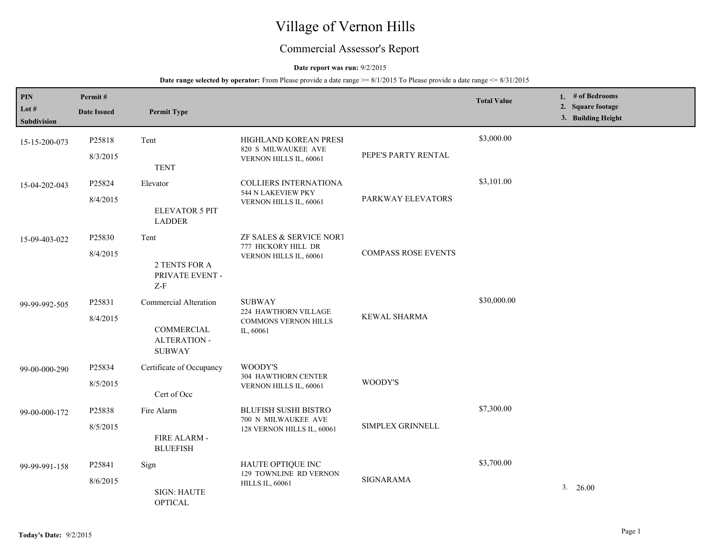# Village of Vernon Hills

## Commercial Assessor's Report

#### **Date report was run:** 9/2/2015

| PIN<br>Lot #<br>Subdivision | Permit#<br><b>Date Issued</b> | <b>Permit Type</b>                                                          |                                                                                   |                            | <b>Total Value</b> | 1. # of Bedrooms<br>2. Square footage<br>3. Building Height |
|-----------------------------|-------------------------------|-----------------------------------------------------------------------------|-----------------------------------------------------------------------------------|----------------------------|--------------------|-------------------------------------------------------------|
| 15-15-200-073               | P25818<br>8/3/2015            | Tent<br><b>TENT</b>                                                         | HIGHLAND KOREAN PRESI<br>820 S MILWAUKEE AVE<br>VERNON HILLS IL, 60061            | PEPE'S PARTY RENTAL        | \$3,000.00         |                                                             |
| 15-04-202-043               | P25824<br>8/4/2015            | Elevator<br><b>ELEVATOR 5 PIT</b><br><b>LADDER</b>                          | <b>COLLIERS INTERNATIONA:</b><br>544 N LAKEVIEW PKY<br>VERNON HILLS IL, 60061     | PARKWAY ELEVATORS          | \$3,101.00         |                                                             |
| 15-09-403-022               | P25830<br>8/4/2015            | Tent<br>2 TENTS FOR A<br>PRIVATE EVENT -<br>$Z-F$                           | ZF SALES & SERVICE NORT<br>777 HICKORY HILL DR<br>VERNON HILLS IL, 60061          | <b>COMPASS ROSE EVENTS</b> |                    |                                                             |
| 99-99-992-505               | P25831<br>8/4/2015            | Commercial Alteration<br>COMMERCIAL<br><b>ALTERATION -</b><br><b>SUBWAY</b> | <b>SUBWAY</b><br>224 HAWTHORN VILLAGE<br><b>COMMONS VERNON HILLS</b><br>IL, 60061 | <b>KEWAL SHARMA</b>        | \$30,000.00        |                                                             |
| 99-00-000-290               | P25834<br>8/5/2015            | Certificate of Occupancy<br>Cert of Occ                                     | WOODY'S<br><b>304 HAWTHORN CENTER</b><br>VERNON HILLS IL, 60061                   | WOODY'S                    |                    |                                                             |
| 99-00-000-172               | P25838<br>8/5/2015            | Fire Alarm<br>FIRE ALARM -<br><b>BLUEFISH</b>                               | <b>BLUFISH SUSHI BISTRO</b><br>700 N MILWAUKEE AVE<br>128 VERNON HILLS IL, 60061  | SIMPLEX GRINNELL           | \$7,300.00         |                                                             |
| 99-99-991-158               | P25841<br>8/6/2015            | Sign<br><b>SIGN: HAUTE</b><br><b>OPTICAL</b>                                | HAUTE OPTIQUE INC<br>129 TOWNLINE RD VERNON<br><b>HILLS IL, 60061</b>             | <b>SIGNARAMA</b>           | \$3,700.00         | $3. \quad 26.00$                                            |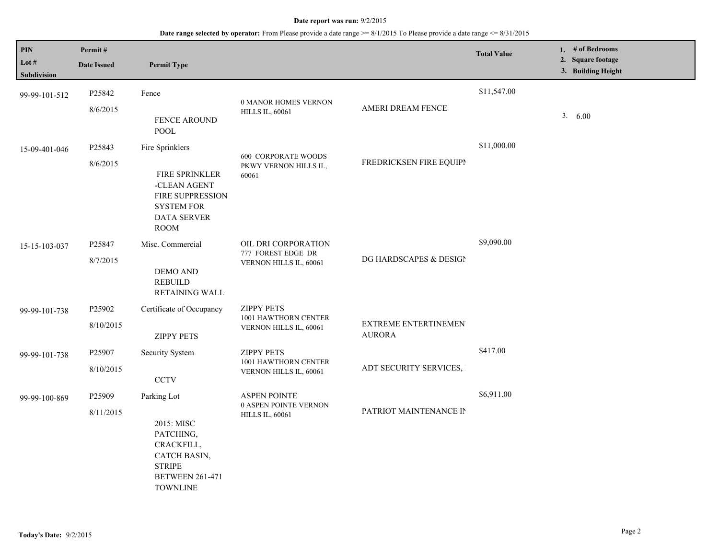| $\mathbf{PIN}$<br>Lot $#$<br>Subdivision | Permit#<br><b>Date Issued</b> | <b>Permit Type</b>                                                                                                                     |                                                                        |                                       | <b>Total Value</b> | 1. $#$ of Bedrooms<br>2. Square footage<br>3. Building Height |
|------------------------------------------|-------------------------------|----------------------------------------------------------------------------------------------------------------------------------------|------------------------------------------------------------------------|---------------------------------------|--------------------|---------------------------------------------------------------|
| 99-99-101-512                            | P25842<br>8/6/2015            | Fence<br><b>FENCE AROUND</b><br><b>POOL</b>                                                                                            | 0 MANOR HOMES VERNON<br><b>HILLS IL, 60061</b>                         | AMERI DREAM FENCE                     | \$11,547.00        | 3.600                                                         |
| 15-09-401-046                            | P25843<br>8/6/2015            | Fire Sprinklers<br><b>FIRE SPRINKLER</b><br>-CLEAN AGENT<br>FIRE SUPPRESSION<br><b>SYSTEM FOR</b><br><b>DATA SERVER</b><br><b>ROOM</b> | <b>600 CORPORATE WOODS</b><br>PKWY VERNON HILLS IL,<br>60061           | FREDRICKSEN FIRE EQUIPI               | \$11,000.00        |                                                               |
| 15-15-103-037                            | P25847<br>8/7/2015            | Misc. Commercial<br><b>DEMO AND</b><br><b>REBUILD</b><br>RETAINING WALL                                                                | OIL DRI CORPORATION<br>777 FOREST EDGE DR<br>VERNON HILLS IL, 60061    | DG HARDSCAPES & DESIGN                | \$9,090.00         |                                                               |
| 99-99-101-738                            | P25902<br>8/10/2015           | Certificate of Occupancy<br><b>ZIPPY PETS</b>                                                                                          | <b>ZIPPY PETS</b><br>1001 HAWTHORN CENTER<br>VERNON HILLS IL, 60061    | EXTREME ENTERTINEMEN<br><b>AURORA</b> |                    |                                                               |
| 99-99-101-738                            | P25907<br>8/10/2015           | Security System<br>$\ensuremath{\textup{\textbf{CCTV}}}$                                                                               | <b>ZIPPY PETS</b><br>1001 HAWTHORN CENTER<br>VERNON HILLS IL, 60061    | ADT SECURITY SERVICES,                | \$417.00           |                                                               |
| 99-99-100-869                            | P25909<br>8/11/2015           | Parking Lot<br>2015: MISC<br>PATCHING,<br>CRACKFILL,<br>CATCH BASIN,<br><b>STRIPE</b><br><b>BETWEEN 261-471</b><br><b>TOWNLINE</b>     | <b>ASPEN POINTE</b><br>0 ASPEN POINTE VERNON<br><b>HILLS IL, 60061</b> | PATRIOT MAINTENANCE IN                | \$6,911.00         |                                                               |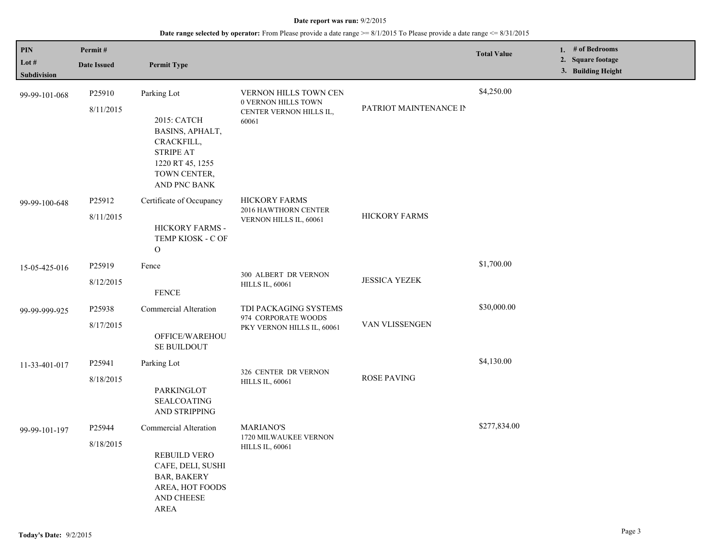| PIN                    | Permit#             |                                                                                                                      |                                                                                                            |                      | <b>Total Value</b> | 1. # of Bedrooms<br>2. Square footage |
|------------------------|---------------------|----------------------------------------------------------------------------------------------------------------------|------------------------------------------------------------------------------------------------------------|----------------------|--------------------|---------------------------------------|
| Lot $#$<br>Subdivision | <b>Date Issued</b>  | <b>Permit Type</b>                                                                                                   |                                                                                                            |                      |                    | 3. Building Height                    |
| 99-99-101-068          | P25910<br>8/11/2015 | Parking Lot                                                                                                          | VERNON HILLS TOWN CEN<br>0 VERNON HILLS TOWN<br>PATRIOT MAINTENANCE IN<br>CENTER VERNON HILLS IL,<br>60061 |                      | \$4,250.00         |                                       |
|                        |                     | 2015: CATCH<br>BASINS, APHALT,<br>CRACKFILL,<br><b>STRIPE AT</b><br>1220 RT 45, 1255<br>TOWN CENTER,<br>AND PNC BANK |                                                                                                            |                      |                    |                                       |
| 99-99-100-648          | P25912              | Certificate of Occupancy                                                                                             | <b>HICKORY FARMS</b><br>2016 HAWTHORN CENTER<br>VERNON HILLS IL, 60061                                     | <b>HICKORY FARMS</b> |                    |                                       |
|                        | 8/11/2015           | HICKORY FARMS -<br>TEMP KIOSK - C OF<br>$\Omega$                                                                     |                                                                                                            |                      |                    |                                       |
| 15-05-425-016          | P25919              | Fence                                                                                                                | 300 ALBERT DR VERNON                                                                                       | <b>JESSICA YEZEK</b> | \$1,700.00         |                                       |
|                        | 8/12/2015           | <b>FENCE</b>                                                                                                         | <b>HILLS IL, 60061</b>                                                                                     |                      |                    |                                       |
| 99-99-999-925          | P25938              | Commercial Alteration                                                                                                | TDI PACKAGING SYSTEMS<br>974 CORPORATE WOODS                                                               | VAN VLISSENGEN       | \$30,000.00        |                                       |
|                        | 8/17/2015           | OFFICE/WAREHOU<br><b>SE BUILDOUT</b>                                                                                 | PKY VERNON HILLS IL, 60061                                                                                 |                      |                    |                                       |
| 11-33-401-017          | P25941              | Parking Lot                                                                                                          | 326 CENTER DR VERNON                                                                                       | <b>ROSE PAVING</b>   | \$4,130.00         |                                       |
|                        | 8/18/2015           | PARKINGLOT<br><b>SEALCOATING</b><br>AND STRIPPING                                                                    | <b>HILLS IL, 60061</b>                                                                                     |                      |                    |                                       |
| 99-99-101-197          | P25944              | Commercial Alteration                                                                                                | <b>MARIANO'S</b><br>1720 MILWAUKEE VERNON                                                                  |                      | \$277,834.00       |                                       |
|                        | 8/18/2015           | <b>REBUILD VERO</b><br>CAFE, DELI, SUSHI<br><b>BAR, BAKERY</b><br>AREA, HOT FOODS<br>AND CHEESE<br>AREA              | <b>HILLS IL, 60061</b>                                                                                     |                      |                    |                                       |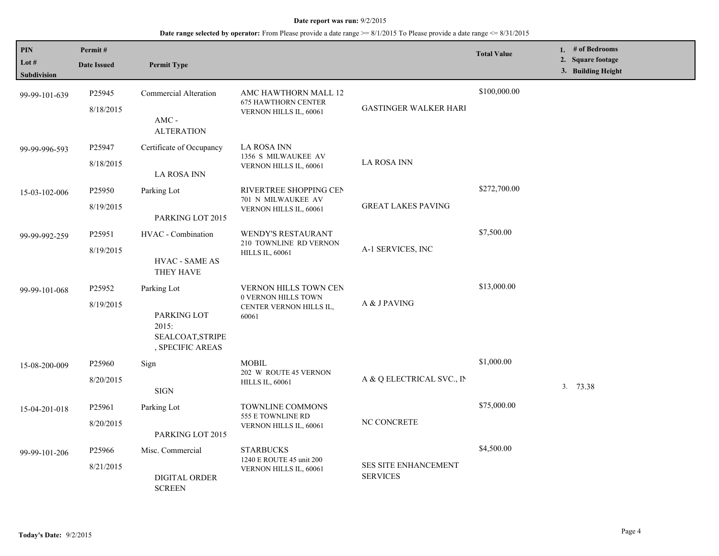| PIN<br>Lot $#$<br><b>Subdivision</b> | Permit#<br><b>Date Issued</b>   | <b>Permit Type</b>                                                          |                                                                                         |                                         | <b>Total Value</b> | 1. # of Bedrooms<br>2. Square footage<br>3. Building Height |
|--------------------------------------|---------------------------------|-----------------------------------------------------------------------------|-----------------------------------------------------------------------------------------|-----------------------------------------|--------------------|-------------------------------------------------------------|
| 99-99-101-639                        | P <sub>25945</sub><br>8/18/2015 | <b>Commercial Alteration</b><br>AMC -<br><b>ALTERATION</b>                  | AMC HAWTHORN MALL 12<br><b>675 HAWTHORN CENTER</b><br>VERNON HILLS IL, 60061            | <b>GASTINGER WALKER HARI</b>            | \$100,000.00       |                                                             |
| 99-99-996-593                        | P <sub>25947</sub><br>8/18/2015 | Certificate of Occupancy<br>LA ROSA INN                                     | LA ROSA INN<br>1356 S MILWAUKEE AV<br>VERNON HILLS IL, 60061                            | <b>LA ROSA INN</b>                      |                    |                                                             |
| 15-03-102-006                        | P25950<br>8/19/2015             | Parking Lot<br>PARKING LOT 2015                                             | RIVERTREE SHOPPING CEN<br>701 N MILWAUKEE AV<br>VERNON HILLS IL, 60061                  | <b>GREAT LAKES PAVING</b>               | \$272,700.00       |                                                             |
| 99-99-992-259                        | P25951<br>8/19/2015             | HVAC - Combination<br>HVAC - SAME AS<br>THEY HAVE                           | <b>WENDY'S RESTAURANT</b><br>210 TOWNLINE RD VERNON<br><b>HILLS IL, 60061</b>           | A-1 SERVICES, INC                       | \$7,500.00         |                                                             |
| 99-99-101-068                        | P25952<br>8/19/2015             | Parking Lot<br>PARKING LOT<br>2015:<br>SEALCOAT, STRIPE<br>, SPECIFIC AREAS | <b>VERNON HILLS TOWN CEN</b><br>0 VERNON HILLS TOWN<br>CENTER VERNON HILLS IL,<br>60061 | A & J PAVING                            | \$13,000.00        |                                                             |
| 15-08-200-009                        | P <sub>25960</sub><br>8/20/2015 | Sign<br><b>SIGN</b>                                                         | <b>MOBIL</b><br>202 W ROUTE 45 VERNON<br><b>HILLS IL, 60061</b>                         | A & Q ELECTRICAL SVC., IN               | \$1,000.00         | 3. 73.38                                                    |
| 15-04-201-018                        | P <sub>25961</sub><br>8/20/2015 | Parking Lot<br>PARKING LOT 2015                                             | TOWNLINE COMMONS<br>555 E TOWNLINE RD<br>VERNON HILLS IL, 60061                         | NC CONCRETE                             | \$75,000.00        |                                                             |
| 99-99-101-206                        | P <sub>25966</sub><br>8/21/2015 | Misc. Commercial<br><b>DIGITAL ORDER</b><br><b>SCREEN</b>                   | <b>STARBUCKS</b><br>1240 E ROUTE 45 unit 200<br>VERNON HILLS IL, 60061                  | SES SITE ENHANCEMENT<br><b>SERVICES</b> | \$4,500.00         |                                                             |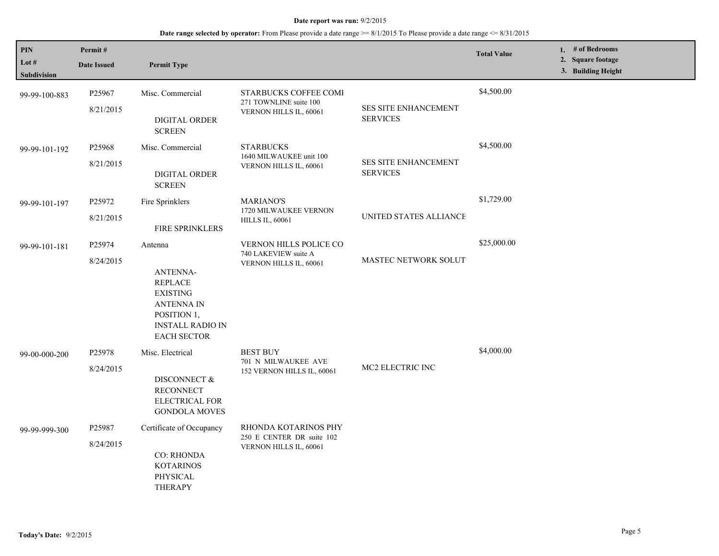| $\mathbf{PIN}$<br>Lot #<br>Subdivision | Permit#<br><b>Date Issued</b> | <b>Permit Type</b>                                                                                                                                   |                                                                             |                                                | <b>Total Value</b> | 1. $#$ of Bedrooms<br>2. Square footage<br>3. Building Height |
|----------------------------------------|-------------------------------|------------------------------------------------------------------------------------------------------------------------------------------------------|-----------------------------------------------------------------------------|------------------------------------------------|--------------------|---------------------------------------------------------------|
| 99-99-100-883                          | P25967<br>8/21/2015           | Misc. Commercial<br>DIGITAL ORDER<br><b>SCREEN</b>                                                                                                   | STARBUCKS COFFEE COMI<br>271 TOWNLINE suite 100<br>VERNON HILLS IL, 60061   | <b>SES SITE ENHANCEMENT</b><br><b>SERVICES</b> | \$4,500.00         |                                                               |
| 99-99-101-192                          | P25968<br>8/21/2015           | Misc. Commercial<br>DIGITAL ORDER<br><b>SCREEN</b>                                                                                                   | <b>STARBUCKS</b><br>1640 MILWAUKEE unit 100<br>VERNON HILLS IL, 60061       | SES SITE ENHANCEMENT<br><b>SERVICES</b>        | \$4,500.00         |                                                               |
| 99-99-101-197                          | P25972<br>8/21/2015           | Fire Sprinklers<br>FIRE SPRINKLERS                                                                                                                   | <b>MARIANO'S</b><br>1720 MILWAUKEE VERNON<br><b>HILLS IL, 60061</b>         | UNITED STATES ALLIANCE                         | \$1,729.00         |                                                               |
| 99-99-101-181                          | P25974<br>8/24/2015           | Antenna<br><b>ANTENNA-</b><br><b>REPLACE</b><br><b>EXISTING</b><br><b>ANTENNA IN</b><br>POSITION 1,<br><b>INSTALL RADIO IN</b><br><b>EACH SECTOR</b> | VERNON HILLS POLICE CO<br>740 LAKEVIEW suite A<br>VERNON HILLS IL, 60061    | <b>MASTEC NETWORK SOLUT</b>                    | \$25,000.00        |                                                               |
| 99-00-000-200                          | P25978<br>8/24/2015           | Misc. Electrical<br>DISCONNECT &<br><b>RECONNECT</b><br>ELECTRICAL FOR<br><b>GONDOLA MOVES</b>                                                       | <b>BEST BUY</b><br>701 N MILWAUKEE AVE<br>152 VERNON HILLS IL, 60061        | MC2 ELECTRIC INC                               | \$4,000.00         |                                                               |
| 99-99-999-300                          | P25987<br>8/24/2015           | Certificate of Occupancy<br><b>CO: RHONDA</b><br><b>KOTARINOS</b><br>PHYSICAL<br><b>THERAPY</b>                                                      | RHONDA KOTARINOS PHY<br>250 E CENTER DR suite 102<br>VERNON HILLS IL, 60061 |                                                |                    |                                                               |